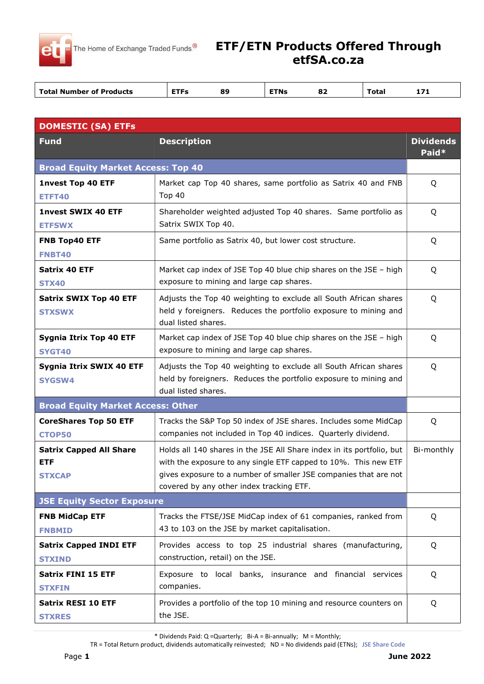

## ETF/ETN Products Offered Through etfSA.co.za

| оJ<br>vlai<br>.<br>. . | <b>Total Number of Products</b> | ETE | ЭG. | FINS | $\mathbf{e}$ | $- + -$ |  |
|------------------------|---------------------------------|-----|-----|------|--------------|---------|--|
|------------------------|---------------------------------|-----|-----|------|--------------|---------|--|

| <b>DOMESTIC (SA) ETFs</b>                                     |                                                                                                                                                                                                                                                          |                           |  |  |
|---------------------------------------------------------------|----------------------------------------------------------------------------------------------------------------------------------------------------------------------------------------------------------------------------------------------------------|---------------------------|--|--|
| <b>Fund</b>                                                   | <b>Description</b>                                                                                                                                                                                                                                       | <b>Dividends</b><br>Paid* |  |  |
| <b>Broad Equity Market Access: Top 40</b>                     |                                                                                                                                                                                                                                                          |                           |  |  |
| <b>1nvest Top 40 ETF</b><br><b>ETFT40</b>                     | Market cap Top 40 shares, same portfolio as Satrix 40 and FNB<br><b>Top 40</b>                                                                                                                                                                           | Q                         |  |  |
| <b>1nvest SWIX 40 ETF</b><br><b>ETFSWX</b>                    | Shareholder weighted adjusted Top 40 shares. Same portfolio as<br>Satrix SWIX Top 40.                                                                                                                                                                    | Q                         |  |  |
| FNB Top40 ETF<br><b>FNBT40</b>                                | Same portfolio as Satrix 40, but lower cost structure.                                                                                                                                                                                                   | Q                         |  |  |
| <b>Satrix 40 ETF</b><br><b>STX40</b>                          | Market cap index of JSE Top 40 blue chip shares on the JSE - high<br>exposure to mining and large cap shares.                                                                                                                                            | Q                         |  |  |
| <b>Satrix SWIX Top 40 ETF</b><br><b>STXSWX</b>                | Adjusts the Top 40 weighting to exclude all South African shares<br>held y foreigners. Reduces the portfolio exposure to mining and<br>dual listed shares.                                                                                               | Q                         |  |  |
| Sygnia Itrix Top 40 ETF<br><b>SYGT40</b>                      | Market cap index of JSE Top 40 blue chip shares on the JSE - high<br>exposure to mining and large cap shares.                                                                                                                                            | Q                         |  |  |
| Sygnia Itrix SWIX 40 ETF<br><b>SYGSW4</b>                     | Adjusts the Top 40 weighting to exclude all South African shares<br>held by foreigners. Reduces the portfolio exposure to mining and<br>dual listed shares.                                                                                              | Q                         |  |  |
| <b>Broad Equity Market Access: Other</b>                      |                                                                                                                                                                                                                                                          |                           |  |  |
| <b>CoreShares Top 50 ETF</b><br><b>CTOP50</b>                 | Tracks the S&P Top 50 index of JSE shares. Includes some MidCap<br>companies not included in Top 40 indices. Quarterly dividend.                                                                                                                         | Q                         |  |  |
| <b>Satrix Capped All Share</b><br><b>ETF</b><br><b>STXCAP</b> | Holds all 140 shares in the JSE All Share index in its portfolio, but<br>with the exposure to any single ETF capped to 10%. This new ETF<br>gives exposure to a number of smaller JSE companies that are not<br>covered by any other index tracking ETF. | Bi-monthly                |  |  |
| <b>JSE Equity Sector Exposure</b>                             |                                                                                                                                                                                                                                                          |                           |  |  |
| <b>FNB MidCap ETF</b><br><b>FNBMID</b>                        | Tracks the FTSE/JSE MidCap index of 61 companies, ranked from<br>43 to 103 on the JSE by market capitalisation.                                                                                                                                          | Q                         |  |  |
| <b>Satrix Capped INDI ETF</b><br><b>STXIND</b>                | Provides access to top 25 industrial shares (manufacturing,<br>construction, retail) on the JSE.                                                                                                                                                         | Q                         |  |  |
| <b>Satrix FINI 15 ETF</b><br><b>STXFIN</b>                    | Exposure to local banks, insurance and financial services<br>companies.                                                                                                                                                                                  | Q                         |  |  |
| <b>Satrix RESI 10 ETF</b><br><b>STXRES</b>                    | Provides a portfolio of the top 10 mining and resource counters on<br>the JSE.                                                                                                                                                                           | Q                         |  |  |

\* Dividends Paid: Q =Quarterly; Bi-A = Bi-annually; M = Monthly;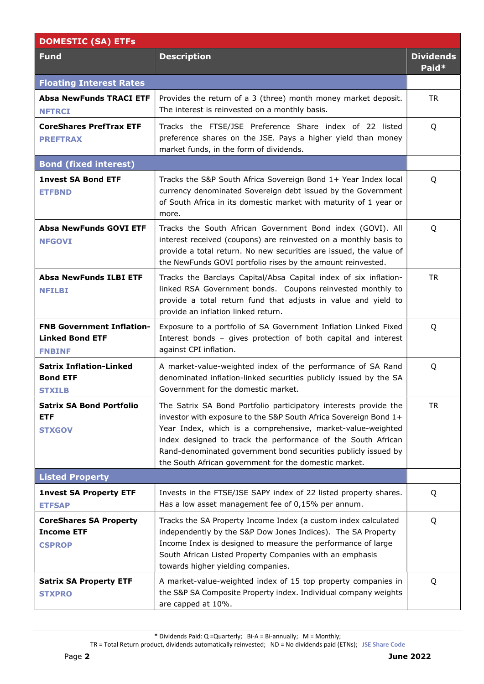| <b>DOMESTIC (SA) ETFs</b>                                                   |                                                                                                                                                                                                                                                                                                                                                                                                |                           |
|-----------------------------------------------------------------------------|------------------------------------------------------------------------------------------------------------------------------------------------------------------------------------------------------------------------------------------------------------------------------------------------------------------------------------------------------------------------------------------------|---------------------------|
| <b>Fund</b>                                                                 | <b>Description</b>                                                                                                                                                                                                                                                                                                                                                                             | <b>Dividends</b><br>Paid* |
| <b>Floating Interest Rates</b>                                              |                                                                                                                                                                                                                                                                                                                                                                                                |                           |
| <b>Absa NewFunds TRACI ETF</b><br><b>NFTRCI</b>                             | Provides the return of a 3 (three) month money market deposit.<br>The interest is reinvested on a monthly basis.                                                                                                                                                                                                                                                                               | <b>TR</b>                 |
| <b>CoreShares PrefTrax ETF</b><br><b>PREFTRAX</b>                           | Tracks the FTSE/JSE Preference Share index of 22 listed<br>preference shares on the JSE. Pays a higher yield than money<br>market funds, in the form of dividends.                                                                                                                                                                                                                             | Q                         |
| <b>Bond (fixed interest)</b>                                                |                                                                                                                                                                                                                                                                                                                                                                                                |                           |
| <b>1nvest SA Bond ETF</b><br><b>ETFBND</b>                                  | Tracks the S&P South Africa Sovereign Bond 1+ Year Index local<br>currency denominated Sovereign debt issued by the Government<br>of South Africa in its domestic market with maturity of 1 year or<br>more.                                                                                                                                                                                   | Q                         |
| <b>Absa NewFunds GOVI ETF</b><br><b>NFGOVI</b>                              | Tracks the South African Government Bond index (GOVI). All<br>interest received (coupons) are reinvested on a monthly basis to<br>provide a total return. No new securities are issued, the value of<br>the NewFunds GOVI portfolio rises by the amount reinvested.                                                                                                                            | Q                         |
| <b>Absa NewFunds ILBI ETF</b><br><b>NFILBI</b>                              | Tracks the Barclays Capital/Absa Capital index of six inflation-<br>linked RSA Government bonds. Coupons reinvested monthly to<br>provide a total return fund that adjusts in value and yield to<br>provide an inflation linked return.                                                                                                                                                        | <b>TR</b>                 |
| <b>FNB Government Inflation-</b><br><b>Linked Bond ETF</b><br><b>FNBINF</b> | Exposure to a portfolio of SA Government Inflation Linked Fixed<br>Interest bonds - gives protection of both capital and interest<br>against CPI inflation.                                                                                                                                                                                                                                    | Q                         |
| <b>Satrix Inflation-Linked</b><br><b>Bond ETF</b><br><b>STXILB</b>          | A market-value-weighted index of the performance of SA Rand<br>denominated inflation-linked securities publicly issued by the SA<br>Government for the domestic market.                                                                                                                                                                                                                        | Q                         |
| <b>Satrix SA Bond Portfolio</b><br><b>ETF</b><br><b>STXGOV</b>              | The Satrix SA Bond Portfolio participatory interests provide the<br>investor with exposure to the S&P South Africa Sovereign Bond 1+<br>Year Index, which is a comprehensive, market-value-weighted<br>index designed to track the performance of the South African<br>Rand-denominated government bond securities publicly issued by<br>the South African government for the domestic market. | <b>TR</b>                 |
| <b>Listed Property</b>                                                      |                                                                                                                                                                                                                                                                                                                                                                                                |                           |
| <b>1nvest SA Property ETF</b><br><b>ETFSAP</b>                              | Invests in the FTSE/JSE SAPY index of 22 listed property shares.<br>Has a low asset management fee of 0,15% per annum.                                                                                                                                                                                                                                                                         | Q                         |
| <b>CoreShares SA Property</b><br><b>Income ETF</b><br><b>CSPROP</b>         | Tracks the SA Property Income Index (a custom index calculated<br>independently by the S&P Dow Jones Indices). The SA Property<br>Income Index is designed to measure the performance of large<br>South African Listed Property Companies with an emphasis<br>towards higher yielding companies.                                                                                               | Q                         |
| <b>Satrix SA Property ETF</b><br><b>STXPRO</b>                              | A market-value-weighted index of 15 top property companies in<br>the S&P SA Composite Property index. Individual company weights<br>are capped at 10%.                                                                                                                                                                                                                                         | Q                         |

 $*$  Dividends Paid: Q = Quarterly; Bi-A = Bi-annually; M = Monthly;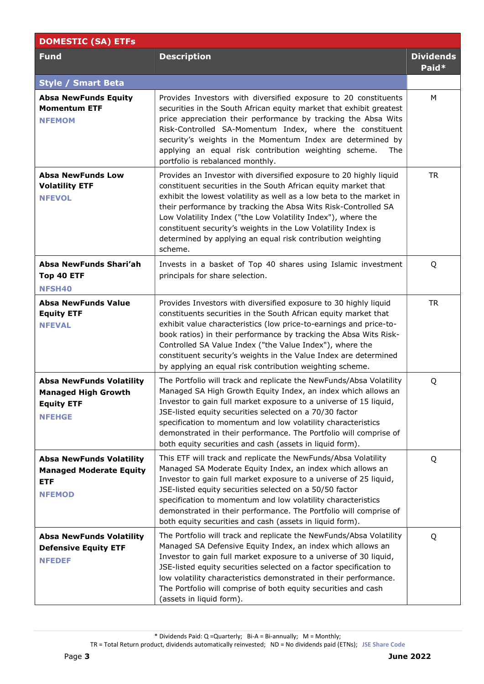| <b>DOMESTIC (SA) ETFs</b>                                                                           |                                                                                                                                                                                                                                                                                                                                                                                                                                                                                           |                           |  |
|-----------------------------------------------------------------------------------------------------|-------------------------------------------------------------------------------------------------------------------------------------------------------------------------------------------------------------------------------------------------------------------------------------------------------------------------------------------------------------------------------------------------------------------------------------------------------------------------------------------|---------------------------|--|
| <b>Fund</b>                                                                                         | <b>Description</b>                                                                                                                                                                                                                                                                                                                                                                                                                                                                        | <b>Dividends</b><br>Paid* |  |
| <b>Style / Smart Beta</b>                                                                           |                                                                                                                                                                                                                                                                                                                                                                                                                                                                                           |                           |  |
| <b>Absa NewFunds Equity</b><br><b>Momentum ETF</b><br><b>NFEMOM</b>                                 | Provides Investors with diversified exposure to 20 constituents<br>securities in the South African equity market that exhibit greatest<br>price appreciation their performance by tracking the Absa Wits<br>Risk-Controlled SA-Momentum Index, where the constituent<br>security's weights in the Momentum Index are determined by<br>applying an equal risk contribution weighting scheme.<br>The<br>portfolio is rebalanced monthly.                                                    | M                         |  |
| <b>Absa NewFunds Low</b><br><b>Volatility ETF</b><br><b>NFEVOL</b>                                  | Provides an Investor with diversified exposure to 20 highly liquid<br>constituent securities in the South African equity market that<br>exhibit the lowest volatility as well as a low beta to the market in<br>their performance by tracking the Absa Wits Risk-Controlled SA<br>Low Volatility Index ("the Low Volatility Index"), where the<br>constituent security's weights in the Low Volatility Index is<br>determined by applying an equal risk contribution weighting<br>scheme. | <b>TR</b>                 |  |
| Absa NewFunds Shari'ah<br>Top 40 ETF<br><b>NFSH40</b>                                               | Invests in a basket of Top 40 shares using Islamic investment<br>principals for share selection.                                                                                                                                                                                                                                                                                                                                                                                          | Q                         |  |
| <b>Absa NewFunds Value</b><br><b>Equity ETF</b><br><b>NFEVAL</b>                                    | Provides Investors with diversified exposure to 30 highly liquid<br>constituents securities in the South African equity market that<br>exhibit value characteristics (low price-to-earnings and price-to-<br>book ratios) in their performance by tracking the Absa Wits Risk-<br>Controlled SA Value Index ("the Value Index"), where the<br>constituent security's weights in the Value Index are determined<br>by applying an equal risk contribution weighting scheme.                | <b>TR</b>                 |  |
| <b>Absa NewFunds Volatility</b><br><b>Managed High Growth</b><br><b>Equity ETF</b><br><b>NFEHGE</b> | The Portfolio will track and replicate the NewFunds/Absa Volatility<br>Managed SA High Growth Equity Index, an index which allows an<br>Investor to gain full market exposure to a universe of 15 liquid,<br>JSE-listed equity securities selected on a 70/30 factor<br>specification to momentum and low volatility characteristics<br>demonstrated in their performance. The Portfolio will comprise of<br>both equity securities and cash (assets in liquid form).                     | Q                         |  |
| <b>Absa NewFunds Volatility</b><br><b>Managed Moderate Equity</b><br><b>ETF</b><br><b>NFEMOD</b>    | This ETF will track and replicate the NewFunds/Absa Volatility<br>Managed SA Moderate Equity Index, an index which allows an<br>Investor to gain full market exposure to a universe of 25 liquid,<br>JSE-listed equity securities selected on a 50/50 factor<br>specification to momentum and low volatility characteristics<br>demonstrated in their performance. The Portfolio will comprise of<br>both equity securities and cash (assets in liquid form).                             | Q                         |  |
| <b>Absa NewFunds Volatility</b><br><b>Defensive Equity ETF</b><br><b>NFEDEF</b>                     | The Portfolio will track and replicate the NewFunds/Absa Volatility<br>Managed SA Defensive Equity Index, an index which allows an<br>Investor to gain full market exposure to a universe of 30 liquid,<br>JSE-listed equity securities selected on a factor specification to<br>low volatility characteristics demonstrated in their performance.<br>The Portfolio will comprise of both equity securities and cash<br>(assets in liquid form).                                          | Q                         |  |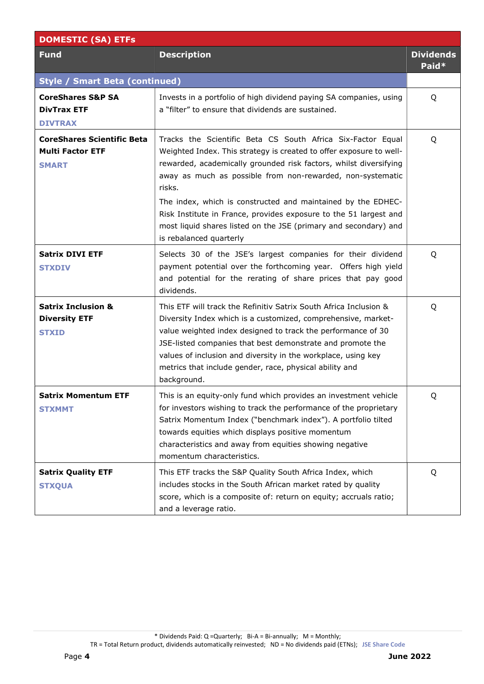| <b>DOMESTIC (SA) ETFs</b>                                                    |                                                                                                                                                                                                                                                                                                                                                                                                                                                                                                                     |                           |  |  |
|------------------------------------------------------------------------------|---------------------------------------------------------------------------------------------------------------------------------------------------------------------------------------------------------------------------------------------------------------------------------------------------------------------------------------------------------------------------------------------------------------------------------------------------------------------------------------------------------------------|---------------------------|--|--|
| <b>Fund</b>                                                                  | <b>Description</b>                                                                                                                                                                                                                                                                                                                                                                                                                                                                                                  | <b>Dividends</b><br>Paid* |  |  |
| <b>Style / Smart Beta (continued)</b>                                        |                                                                                                                                                                                                                                                                                                                                                                                                                                                                                                                     |                           |  |  |
| <b>CoreShares S&amp;P SA</b><br><b>DivTrax ETF</b><br><b>DIVTRAX</b>         | Invests in a portfolio of high dividend paying SA companies, using<br>a "filter" to ensure that dividends are sustained.                                                                                                                                                                                                                                                                                                                                                                                            | Q                         |  |  |
| <b>CoreShares Scientific Beta</b><br><b>Multi Factor ETF</b><br><b>SMART</b> | Tracks the Scientific Beta CS South Africa Six-Factor Equal<br>Weighted Index. This strategy is created to offer exposure to well-<br>rewarded, academically grounded risk factors, whilst diversifying<br>away as much as possible from non-rewarded, non-systematic<br>risks.<br>The index, which is constructed and maintained by the EDHEC-<br>Risk Institute in France, provides exposure to the 51 largest and<br>most liquid shares listed on the JSE (primary and secondary) and<br>is rebalanced quarterly | Q                         |  |  |
| <b>Satrix DIVI ETF</b><br><b>STXDIV</b>                                      | Selects 30 of the JSE's largest companies for their dividend<br>payment potential over the forthcoming year. Offers high yield<br>and potential for the rerating of share prices that pay good<br>dividends.                                                                                                                                                                                                                                                                                                        | Q                         |  |  |
| <b>Satrix Inclusion &amp;</b><br><b>Diversity ETF</b><br><b>STXID</b>        | This ETF will track the Refinitiv Satrix South Africa Inclusion &<br>Diversity Index which is a customized, comprehensive, market-<br>value weighted index designed to track the performance of 30<br>JSE-listed companies that best demonstrate and promote the<br>values of inclusion and diversity in the workplace, using key<br>metrics that include gender, race, physical ability and<br>background.                                                                                                         | Q                         |  |  |
| Satrix Momentum ETF<br><b>STXMMT</b>                                         | This is an equity-only fund which provides an investment vehicle<br>for investors wishing to track the performance of the proprietary<br>Satrix Momentum Index ("benchmark index"). A portfolio tilted<br>towards equities which displays positive momentum<br>characteristics and away from equities showing negative<br>momentum characteristics.                                                                                                                                                                 | Q                         |  |  |
| <b>Satrix Quality ETF</b><br><b>STXQUA</b>                                   | This ETF tracks the S&P Quality South Africa Index, which<br>includes stocks in the South African market rated by quality<br>score, which is a composite of: return on equity; accruals ratio;<br>and a leverage ratio.                                                                                                                                                                                                                                                                                             | Q                         |  |  |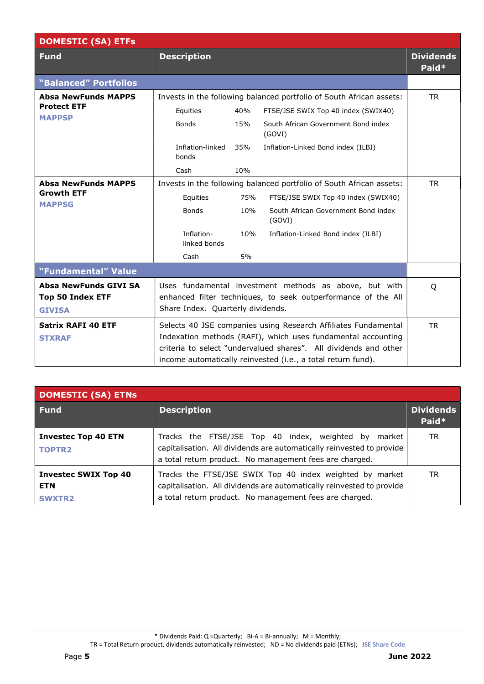| <b>DOMESTIC (SA) ETFs</b>                                         |                                                                      |     |                                                                                                                                                                                                                                                                    |                           |
|-------------------------------------------------------------------|----------------------------------------------------------------------|-----|--------------------------------------------------------------------------------------------------------------------------------------------------------------------------------------------------------------------------------------------------------------------|---------------------------|
| <b>Fund</b>                                                       | <b>Description</b>                                                   |     |                                                                                                                                                                                                                                                                    | <b>Dividends</b><br>Paid* |
| "Balanced" Portfolios                                             |                                                                      |     |                                                                                                                                                                                                                                                                    |                           |
| <b>Absa NewFunds MAPPS</b><br><b>Protect ETF</b><br><b>MAPPSP</b> | Equities                                                             | 40% | Invests in the following balanced portfolio of South African assets:<br>FTSE/JSE SWIX Top 40 index (SWIX40)                                                                                                                                                        | <b>TR</b>                 |
|                                                                   | <b>Bonds</b>                                                         | 15% | South African Government Bond index<br>(GOVI)                                                                                                                                                                                                                      |                           |
|                                                                   | Inflation-linked<br>bonds                                            | 35% | Inflation-Linked Bond index (ILBI)                                                                                                                                                                                                                                 |                           |
|                                                                   | Cash                                                                 | 10% |                                                                                                                                                                                                                                                                    |                           |
| <b>Absa NewFunds MAPPS</b><br><b>Growth ETF</b><br><b>MAPPSG</b>  | Invests in the following balanced portfolio of South African assets: |     |                                                                                                                                                                                                                                                                    | <b>TR</b>                 |
|                                                                   | Equities                                                             | 75% | FTSE/JSE SWIX Top 40 index (SWIX40)                                                                                                                                                                                                                                |                           |
|                                                                   | <b>Bonds</b>                                                         | 10% | South African Government Bond index<br>(GOVI)                                                                                                                                                                                                                      |                           |
|                                                                   | Inflation-<br>linked bonds                                           | 10% | Inflation-Linked Bond index (ILBI)                                                                                                                                                                                                                                 |                           |
|                                                                   | Cash                                                                 | 5%  |                                                                                                                                                                                                                                                                    |                           |
| "Fundamental" Value                                               |                                                                      |     |                                                                                                                                                                                                                                                                    |                           |
| Absa NewFunds GIVI SA<br><b>Top 50 Index ETF</b><br><b>GIVISA</b> | Share Index. Quarterly dividends.                                    |     | Uses fundamental investment methods as above, but with<br>enhanced filter techniques, to seek outperformance of the All                                                                                                                                            | Q                         |
| <b>Satrix RAFI 40 ETF</b><br><b>STXRAF</b>                        |                                                                      |     | Selects 40 JSE companies using Research Affiliates Fundamental<br>Indexation methods (RAFI), which uses fundamental accounting<br>criteria to select "undervalued shares". All dividends and other<br>income automatically reinvested (i.e., a total return fund). | <b>TR</b>                 |

| <b>DOMESTIC (SA) ETNs</b>                                  |                                                                                                                                                                                              |                           |
|------------------------------------------------------------|----------------------------------------------------------------------------------------------------------------------------------------------------------------------------------------------|---------------------------|
| Fund                                                       | <b>Description</b>                                                                                                                                                                           | <b>Dividends</b><br>Paid* |
| <b>Investec Top 40 ETN</b><br><b>TOPTR2</b>                | Tracks the FTSE/JSE Top 40 index, weighted by market<br>capitalisation. All dividends are automatically reinvested to provide<br>a total return product. No management fees are charged.     | TR.                       |
| <b>Investec SWIX Top 40</b><br><b>ETN</b><br><b>SWXTR2</b> | Tracks the FTSE/JSE SWIX Top 40 index weighted by market<br>capitalisation. All dividends are automatically reinvested to provide<br>a total return product. No management fees are charged. | TR.                       |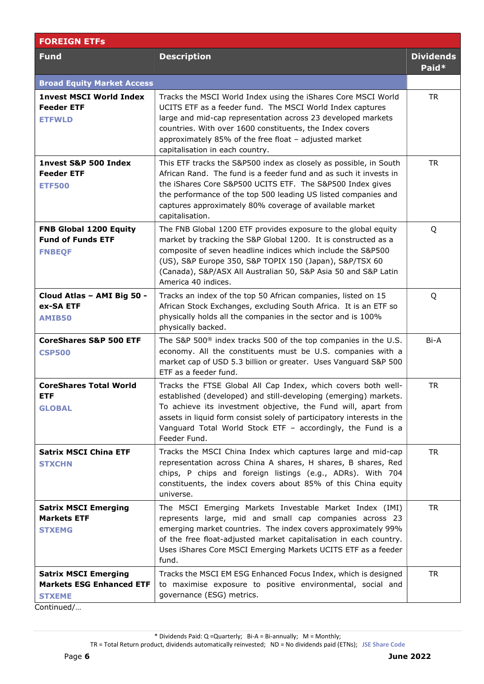| <b>FOREIGN ETFS</b>                                                             |                                                                                                                                                                                                                                                                                                                                                              |                           |
|---------------------------------------------------------------------------------|--------------------------------------------------------------------------------------------------------------------------------------------------------------------------------------------------------------------------------------------------------------------------------------------------------------------------------------------------------------|---------------------------|
| <b>Fund</b>                                                                     | <b>Description</b>                                                                                                                                                                                                                                                                                                                                           | <b>Dividends</b><br>Paid* |
| <b>Broad Equity Market Access</b>                                               |                                                                                                                                                                                                                                                                                                                                                              |                           |
| <b>1nvest MSCI World Index</b><br><b>Feeder ETF</b><br><b>ETFWLD</b>            | Tracks the MSCI World Index using the iShares Core MSCI World<br>UCITS ETF as a feeder fund. The MSCI World Index captures<br>large and mid-cap representation across 23 developed markets<br>countries. With over 1600 constituents, the Index covers<br>approximately 85% of the free float - adjusted market<br>capitalisation in each country.           | <b>TR</b>                 |
| 1nvest S&P 500 Index<br><b>Feeder ETF</b><br><b>ETF500</b>                      | This ETF tracks the S&P500 index as closely as possible, in South<br>African Rand. The fund is a feeder fund and as such it invests in<br>the iShares Core S&P500 UCITS ETF. The S&P500 Index gives<br>the performance of the top 500 leading US listed companies and<br>captures approximately 80% coverage of available market<br>capitalisation.          | <b>TR</b>                 |
| FNB Global 1200 Equity<br><b>Fund of Funds ETF</b><br><b>FNBEQF</b>             | The FNB Global 1200 ETF provides exposure to the global equity<br>market by tracking the S&P Global 1200. It is constructed as a<br>composite of seven headline indices which include the S&P500<br>(US), S&P Europe 350, S&P TOPIX 150 (Japan), S&P/TSX 60<br>(Canada), S&P/ASX All Australian 50, S&P Asia 50 and S&P Latin<br>America 40 indices.         | Q                         |
| Cloud Atlas - AMI Big 50 -<br>ex-SA ETF<br><b>AMIB50</b>                        | Tracks an index of the top 50 African companies, listed on 15<br>African Stock Exchanges, excluding South Africa. It is an ETF so<br>physically holds all the companies in the sector and is 100%<br>physically backed.                                                                                                                                      | Q                         |
| <b>CoreShares S&amp;P 500 ETF</b><br><b>CSP500</b>                              | The S&P 500 <sup>®</sup> index tracks 500 of the top companies in the U.S.<br>economy. All the constituents must be U.S. companies with a<br>market cap of USD 5.3 billion or greater. Uses Vanguard S&P 500<br>ETF as a feeder fund.                                                                                                                        | Bi-A                      |
| <b>CoreShares Total World</b><br><b>ETF</b><br><b>GLOBAL</b>                    | Tracks the FTSE Global All Cap Index, which covers both well-<br>established (developed) and still-developing (emerging) markets.<br>To achieve its investment objective, the Fund will, apart from<br>assets in liquid form consist solely of participatory interests in the<br>Vanguard Total World Stock ETF - accordingly, the Fund is a<br>Feeder Fund. | <b>TR</b>                 |
| <b>Satrix MSCI China ETF</b><br><b>STXCHN</b>                                   | Tracks the MSCI China Index which captures large and mid-cap<br>representation across China A shares, H shares, B shares, Red<br>chips, P chips and foreign listings (e.g., ADRs). With 704<br>constituents, the index covers about 85% of this China equity<br>universe.                                                                                    | <b>TR</b>                 |
| <b>Satrix MSCI Emerging</b><br><b>Markets ETF</b><br><b>STXEMG</b>              | The MSCI Emerging Markets Investable Market Index (IMI)<br>represents large, mid and small cap companies across 23<br>emerging market countries. The index covers approximately 99%<br>of the free float-adjusted market capitalisation in each country.<br>Uses iShares Core MSCI Emerging Markets UCITS ETF as a feeder<br>fund.                           | <b>TR</b>                 |
| <b>Satrix MSCI Emerging</b><br><b>Markets ESG Enhanced ETF</b><br><b>STXEME</b> | Tracks the MSCI EM ESG Enhanced Focus Index, which is designed<br>to maximise exposure to positive environmental, social and<br>governance (ESG) metrics.                                                                                                                                                                                                    | <b>TR</b>                 |

Continued/…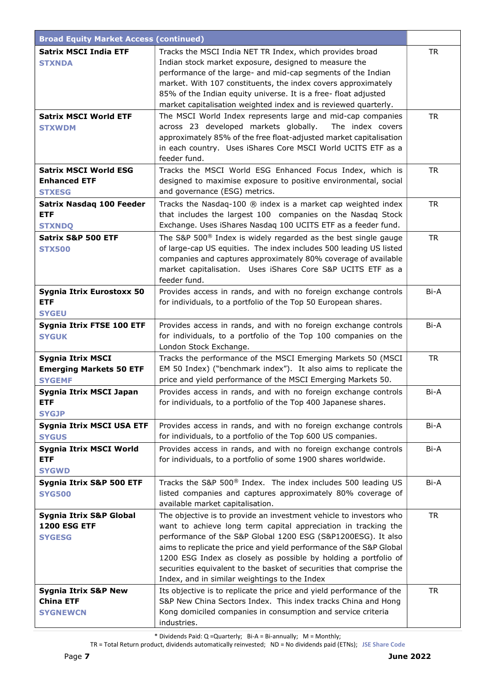| <b>Broad Equity Market Access (continued)</b> |                                                                                                                                 |           |
|-----------------------------------------------|---------------------------------------------------------------------------------------------------------------------------------|-----------|
| <b>Satrix MSCI India ETF</b>                  | Tracks the MSCI India NET TR Index, which provides broad                                                                        | <b>TR</b> |
| <b>STXNDA</b>                                 | Indian stock market exposure, designed to measure the                                                                           |           |
|                                               | performance of the large- and mid-cap segments of the Indian                                                                    |           |
|                                               | market. With 107 constituents, the index covers approximately                                                                   |           |
|                                               | 85% of the Indian equity universe. It is a free- float adjusted                                                                 |           |
|                                               | market capitalisation weighted index and is reviewed quarterly.                                                                 |           |
| <b>Satrix MSCI World ETF</b>                  | The MSCI World Index represents large and mid-cap companies                                                                     | <b>TR</b> |
| <b>STXWDM</b>                                 | across 23 developed markets globally.<br>The index covers                                                                       |           |
|                                               | approximately 85% of the free float-adjusted market capitalisation                                                              |           |
|                                               | in each country. Uses iShares Core MSCI World UCITS ETF as a<br>feeder fund.                                                    |           |
| <b>Satrix MSCI World ESG</b>                  | Tracks the MSCI World ESG Enhanced Focus Index, which is                                                                        | <b>TR</b> |
| <b>Enhanced ETF</b>                           | designed to maximise exposure to positive environmental, social                                                                 |           |
| <b>STXESG</b>                                 | and governance (ESG) metrics.                                                                                                   |           |
| <b>Satrix Nasdaq 100 Feeder</b>               | Tracks the Nasdaq-100 ® index is a market cap weighted index                                                                    | <b>TR</b> |
| <b>ETF</b>                                    | that includes the largest 100 companies on the Nasdaq Stock                                                                     |           |
| <b>STXNDQ</b>                                 | Exchange. Uses iShares Nasdaq 100 UCITS ETF as a feeder fund.                                                                   |           |
| Satrix S&P 500 ETF                            | The S&P 500 <sup>®</sup> Index is widely regarded as the best single gauge                                                      | <b>TR</b> |
| <b>STX500</b>                                 | of large-cap US equities. The index includes 500 leading US listed                                                              |           |
|                                               | companies and captures approximately 80% coverage of available                                                                  |           |
|                                               | market capitalisation. Uses iShares Core S&P UCITS ETF as a                                                                     |           |
|                                               | feeder fund.                                                                                                                    |           |
| Sygnia Itrix Eurostoxx 50                     | Provides access in rands, and with no foreign exchange controls                                                                 | Bi-A      |
| <b>ETF</b>                                    | for individuals, to a portfolio of the Top 50 European shares.                                                                  |           |
| <b>SYGEU</b>                                  |                                                                                                                                 |           |
| Sygnia Itrix FTSE 100 ETF                     | Provides access in rands, and with no foreign exchange controls                                                                 | Bi-A      |
| <b>SYGUK</b>                                  | for individuals, to a portfolio of the Top 100 companies on the                                                                 |           |
|                                               | London Stock Exchange.                                                                                                          |           |
| <b>Sygnia Itrix MSCI</b>                      | Tracks the performance of the MSCI Emerging Markets 50 (MSCI                                                                    | <b>TR</b> |
| <b>Emerging Markets 50 ETF</b>                | EM 50 Index) ("benchmark index"). It also aims to replicate the                                                                 |           |
| <b>SYGEMF</b>                                 | price and yield performance of the MSCI Emerging Markets 50.                                                                    |           |
| Sygnia Itrix MSCI Japan                       | Provides access in rands, and with no foreign exchange controls                                                                 | Bi-A      |
| <b>ETF</b>                                    | for individuals, to a portfolio of the Top 400 Japanese shares.                                                                 |           |
| <b>SYGJP</b>                                  |                                                                                                                                 |           |
| Sygnia Itrix MSCI USA ETF<br><b>SYGUS</b>     | Provides access in rands, and with no foreign exchange controls<br>for individuals, to a portfolio of the Top 600 US companies. | Bi-A      |
|                                               | Provides access in rands, and with no foreign exchange controls                                                                 | Bi-A      |
| Sygnia Itrix MSCI World<br><b>ETF</b>         | for individuals, to a portfolio of some 1900 shares worldwide.                                                                  |           |
| <b>SYGWD</b>                                  |                                                                                                                                 |           |
| Sygnia Itrix S&P 500 ETF                      | Tracks the S&P 500® Index. The index includes 500 leading US                                                                    | Bi-A      |
| <b>SYG500</b>                                 | listed companies and captures approximately 80% coverage of                                                                     |           |
|                                               | available market capitalisation.                                                                                                |           |
| Sygnia Itrix S&P Global                       | The objective is to provide an investment vehicle to investors who                                                              | <b>TR</b> |
| <b>1200 ESG ETF</b>                           | want to achieve long term capital appreciation in tracking the                                                                  |           |
| <b>SYGESG</b>                                 | performance of the S&P Global 1200 ESG (S&P1200ESG). It also                                                                    |           |
|                                               | aims to replicate the price and yield performance of the S&P Global                                                             |           |
|                                               | 1200 ESG Index as closely as possible by holding a portfolio of                                                                 |           |
|                                               | securities equivalent to the basket of securities that comprise the                                                             |           |
|                                               | Index, and in similar weightings to the Index                                                                                   |           |
| <b>Sygnia Itrix S&amp;P New</b>               | Its objective is to replicate the price and yield performance of the                                                            | <b>TR</b> |
| <b>China ETF</b>                              | S&P New China Sectors Index. This index tracks China and Hong                                                                   |           |
| <b>SYGNEWCN</b>                               | Kong domiciled companies in consumption and service criteria                                                                    |           |
|                                               | industries.                                                                                                                     |           |

 $*$  Dividends Paid: Q = Quarterly; Bi-A = Bi-annually; M = Monthly;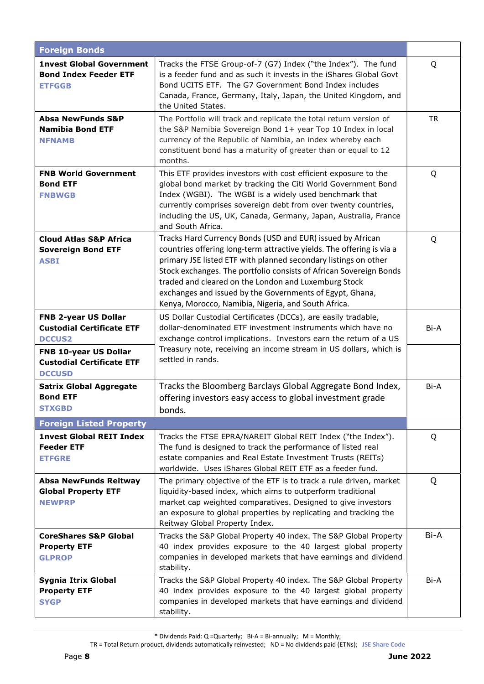| <b>Foreign Bonds</b>                                                                                                                   |                                                                                                                                                                                                                                                                                                                                                                                                                                                         |           |
|----------------------------------------------------------------------------------------------------------------------------------------|---------------------------------------------------------------------------------------------------------------------------------------------------------------------------------------------------------------------------------------------------------------------------------------------------------------------------------------------------------------------------------------------------------------------------------------------------------|-----------|
| <b>1nvest Global Government</b><br><b>Bond Index Feeder ETF</b><br><b>ETFGGB</b>                                                       | Tracks the FTSE Group-of-7 (G7) Index ("the Index"). The fund<br>is a feeder fund and as such it invests in the iShares Global Govt<br>Bond UCITS ETF. The G7 Government Bond Index includes<br>Canada, France, Germany, Italy, Japan, the United Kingdom, and<br>the United States.                                                                                                                                                                    | Q         |
| <b>Absa NewFunds S&amp;P</b><br><b>Namibia Bond ETF</b><br><b>NFNAMB</b>                                                               | The Portfolio will track and replicate the total return version of<br>the S&P Namibia Sovereign Bond 1+ year Top 10 Index in local<br>currency of the Republic of Namibia, an index whereby each<br>constituent bond has a maturity of greater than or equal to 12<br>months.                                                                                                                                                                           | <b>TR</b> |
| <b>FNB World Government</b><br><b>Bond ETF</b><br><b>FNBWGB</b>                                                                        | This ETF provides investors with cost efficient exposure to the<br>global bond market by tracking the Citi World Government Bond<br>Index (WGBI). The WGBI is a widely used benchmark that<br>currently comprises sovereign debt from over twenty countries,<br>including the US, UK, Canada, Germany, Japan, Australia, France<br>and South Africa.                                                                                                    | Q         |
| <b>Cloud Atlas S&amp;P Africa</b><br><b>Sovereign Bond ETF</b><br><b>ASBI</b>                                                          | Tracks Hard Currency Bonds (USD and EUR) issued by African<br>countries offering long-term attractive yields. The offering is via a<br>primary JSE listed ETF with planned secondary listings on other<br>Stock exchanges. The portfolio consists of African Sovereign Bonds<br>traded and cleared on the London and Luxemburg Stock<br>exchanges and issued by the Governments of Egypt, Ghana,<br>Kenya, Morocco, Namibia, Nigeria, and South Africa. | Q         |
| FNB 2-year US Dollar<br><b>Custodial Certificate ETF</b><br><b>DCCUS2</b><br>FNB 10-year US Dollar<br><b>Custodial Certificate ETF</b> | US Dollar Custodial Certificates (DCCs), are easily tradable,<br>dollar-denominated ETF investment instruments which have no<br>exchange control implications. Investors earn the return of a US<br>Treasury note, receiving an income stream in US dollars, which is<br>settled in rands.                                                                                                                                                              | Bi-A      |
| <b>DCCUSD</b><br><b>Satrix Global Aggregate</b><br><b>Bond ETF</b><br><b>STXGBD</b>                                                    | Tracks the Bloomberg Barclays Global Aggregate Bond Index,<br>offering investors easy access to global investment grade<br>bonds.                                                                                                                                                                                                                                                                                                                       | Bi-A      |
| <b>Foreign Listed Property</b>                                                                                                         |                                                                                                                                                                                                                                                                                                                                                                                                                                                         |           |
| <b>1nvest Global REIT Index</b><br><b>Feeder ETF</b><br><b>ETFGRE</b>                                                                  | Tracks the FTSE EPRA/NAREIT Global REIT Index ("the Index").<br>The fund is designed to track the performance of listed real<br>estate companies and Real Estate Investment Trusts (REITs)<br>worldwide. Uses iShares Global REIT ETF as a feeder fund.                                                                                                                                                                                                 | Q         |
| <b>Absa NewFunds Reitway</b><br><b>Global Property ETF</b><br><b>NEWPRP</b>                                                            | The primary objective of the ETF is to track a rule driven, market<br>liquidity-based index, which aims to outperform traditional<br>market cap weighted comparatives. Designed to give investors<br>an exposure to global properties by replicating and tracking the<br>Reitway Global Property Index.                                                                                                                                                 | Q         |
| <b>CoreShares S&amp;P Global</b><br><b>Property ETF</b><br><b>GLPROP</b>                                                               | Tracks the S&P Global Property 40 index. The S&P Global Property<br>40 index provides exposure to the 40 largest global property<br>companies in developed markets that have earnings and dividend<br>stability.                                                                                                                                                                                                                                        | Bi-A      |
| Sygnia Itrix Global<br><b>Property ETF</b><br><b>SYGP</b>                                                                              | Tracks the S&P Global Property 40 index. The S&P Global Property<br>40 index provides exposure to the 40 largest global property<br>companies in developed markets that have earnings and dividend<br>stability.                                                                                                                                                                                                                                        | Bi-A      |

 $*$  Dividends Paid: Q = Quarterly; Bi-A = Bi-annually; M = Monthly;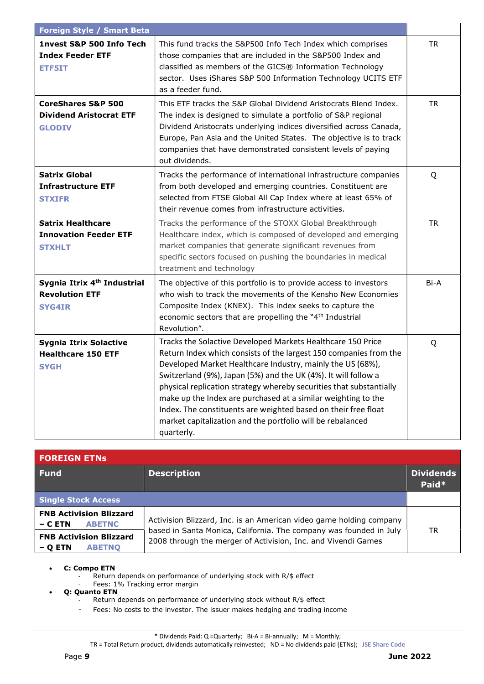| <b>Foreign Style / Smart Beta</b>                                                 |                                                                                                                                                                                                                                                                                                                                                                                                                                                                                                                                                        |           |
|-----------------------------------------------------------------------------------|--------------------------------------------------------------------------------------------------------------------------------------------------------------------------------------------------------------------------------------------------------------------------------------------------------------------------------------------------------------------------------------------------------------------------------------------------------------------------------------------------------------------------------------------------------|-----------|
| 1nvest S&P 500 Info Tech<br><b>Index Feeder ETF</b><br>ETF5IT                     | This fund tracks the S&P500 Info Tech Index which comprises<br>those companies that are included in the S&P500 Index and<br>classified as members of the GICS® Information Technology<br>sector. Uses iShares S&P 500 Information Technology UCITS ETF<br>as a feeder fund.                                                                                                                                                                                                                                                                            | <b>TR</b> |
| <b>CoreShares S&amp;P 500</b><br><b>Dividend Aristocrat ETF</b><br><b>GLODIV</b>  | This ETF tracks the S&P Global Dividend Aristocrats Blend Index.<br>The index is designed to simulate a portfolio of S&P regional<br>Dividend Aristocrats underlying indices diversified across Canada,<br>Europe, Pan Asia and the United States. The objective is to track<br>companies that have demonstrated consistent levels of paying<br>out dividends.                                                                                                                                                                                         | <b>TR</b> |
| <b>Satrix Global</b><br><b>Infrastructure ETF</b><br><b>STXIFR</b>                | Tracks the performance of international infrastructure companies<br>from both developed and emerging countries. Constituent are<br>selected from FTSE Global All Cap Index where at least 65% of<br>their revenue comes from infrastructure activities.                                                                                                                                                                                                                                                                                                | Q         |
| <b>Satrix Healthcare</b><br><b>Innovation Feeder ETF</b><br><b>STXHLT</b>         | Tracks the performance of the STOXX Global Breakthrough<br>Healthcare index, which is composed of developed and emerging<br>market companies that generate significant revenues from<br>specific sectors focused on pushing the boundaries in medical<br>treatment and technology                                                                                                                                                                                                                                                                      | <b>TR</b> |
| Sygnia Itrix 4 <sup>th</sup> Industrial<br><b>Revolution ETF</b><br><b>SYG4IR</b> | The objective of this portfolio is to provide access to investors<br>who wish to track the movements of the Kensho New Economies<br>Composite Index (KNEX). This index seeks to capture the<br>economic sectors that are propelling the "4 <sup>th</sup> Industrial<br>Revolution".                                                                                                                                                                                                                                                                    | Bi-A      |
| <b>Sygnia Itrix Solactive</b><br><b>Healthcare 150 ETF</b><br><b>SYGH</b>         | Tracks the Solactive Developed Markets Healthcare 150 Price<br>Return Index which consists of the largest 150 companies from the<br>Developed Market Healthcare Industry, mainly the US (68%),<br>Switzerland (9%), Japan (5%) and the UK (4%). It will follow a<br>physical replication strategy whereby securities that substantially<br>make up the Index are purchased at a similar weighting to the<br>Index. The constituents are weighted based on their free float<br>market capitalization and the portfolio will be rebalanced<br>quarterly. | Q         |

| <b>FOREIGN ETNS</b>                                        |                                                                                                                                     |                           |
|------------------------------------------------------------|-------------------------------------------------------------------------------------------------------------------------------------|---------------------------|
| <b>Fund</b>                                                | <b>Description</b>                                                                                                                  | <b>Dividends</b><br>Paid* |
| <b>Single Stock Access</b>                                 |                                                                                                                                     |                           |
| <b>FNB Activision Blizzard</b><br><b>ABETNC</b><br>– C ETN | Activision Blizzard, Inc. is an American video game holding company                                                                 |                           |
| <b>FNB Activision Blizzard</b><br><b>ABETNO</b><br>– O ETN | based in Santa Monica, California. The company was founded in July<br>2008 through the merger of Activision, Inc. and Vivendi Games | TR                        |

## C: Compo ETN

- Return depends on performance of underlying stock with R/\$ effect

- Fees: 1% Tracking error margin
- Q: Quanto ETN Return depends on performance of underlying stock without R/\$ effect
	- Fees: No costs to the investor. The issuer makes hedging and trading income

\* Dividends Paid: Q =Quarterly; Bi-A = Bi-annually; M = Monthly;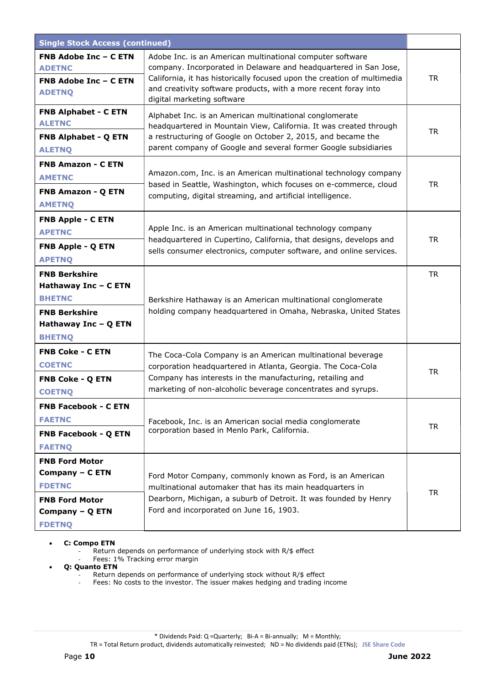| <b>Single Stock Access (continued)</b>                                                                                         |                                                                                                                                                                                                                                                                                                           |           |
|--------------------------------------------------------------------------------------------------------------------------------|-----------------------------------------------------------------------------------------------------------------------------------------------------------------------------------------------------------------------------------------------------------------------------------------------------------|-----------|
| <b>FNB Adobe Inc - C ETN</b><br><b>ADETNC</b><br><b>FNB Adobe Inc - C ETN</b><br><b>ADETNQ</b>                                 | Adobe Inc. is an American multinational computer software<br>company. Incorporated in Delaware and headquartered in San Jose,<br>California, it has historically focused upon the creation of multimedia<br>and creativity software products, with a more recent foray into<br>digital marketing software | <b>TR</b> |
| <b>FNB Alphabet - C ETN</b><br><b>ALETNC</b><br>FNB Alphabet - Q ETN<br><b>ALETNQ</b>                                          | Alphabet Inc. is an American multinational conglomerate<br>headquartered in Mountain View, California. It was created through<br>a restructuring of Google on October 2, 2015, and became the<br>parent company of Google and several former Google subsidiaries                                          | <b>TR</b> |
| <b>FNB Amazon - C ETN</b><br><b>AMETNC</b><br>FNB Amazon - Q ETN<br><b>AMETNQ</b>                                              | Amazon.com, Inc. is an American multinational technology company<br>based in Seattle, Washington, which focuses on e-commerce, cloud<br>computing, digital streaming, and artificial intelligence.                                                                                                        | <b>TR</b> |
| <b>FNB Apple - C ETN</b><br><b>APETNC</b><br><b>FNB Apple - Q ETN</b><br><b>APETNQ</b>                                         | Apple Inc. is an American multinational technology company<br>headquartered in Cupertino, California, that designs, develops and<br>sells consumer electronics, computer software, and online services.                                                                                                   | <b>TR</b> |
| <b>FNB Berkshire</b><br>Hathaway Inc - C ETN<br><b>BHETNC</b><br><b>FNB Berkshire</b><br>Hathaway Inc - Q ETN<br><b>BHETNQ</b> | Berkshire Hathaway is an American multinational conglomerate<br>holding company headquartered in Omaha, Nebraska, United States                                                                                                                                                                           | <b>TR</b> |
| <b>FNB Coke - C ETN</b><br><b>COETNC</b><br><b>FNB Coke - Q ETN</b><br><b>COETNQ</b>                                           | The Coca-Cola Company is an American multinational beverage<br>corporation headquartered in Atlanta, Georgia. The Coca-Cola<br>Company has interests in the manufacturing, retailing and<br>marketing of non-alcoholic beverage concentrates and syrups.                                                  | <b>TR</b> |
| <b>FNB Facebook - C ETN</b><br><b>FAETNC</b><br><b>FNB Facebook - Q ETN</b><br><b>FAETNQ</b>                                   | Facebook, Inc. is an American social media conglomerate<br>corporation based in Menlo Park, California.                                                                                                                                                                                                   | <b>TR</b> |
| <b>FNB Ford Motor</b><br>Company - C ETN<br><b>FDETNC</b><br><b>FNB Ford Motor</b><br>Company - Q ETN<br><b>FDETNQ</b>         | Ford Motor Company, commonly known as Ford, is an American<br>multinational automaker that has its main headquarters in<br>Dearborn, Michigan, a suburb of Detroit. It was founded by Henry<br>Ford and incorporated on June 16, 1903.                                                                    | <b>TR</b> |

C: Compo ETN

Return depends on performance of underlying stock with R/\$ effect

- Fees: 1% Tracking error margin

Q: Quanto ETN

- Return depends on performance of underlying stock without R/\$ effect
- Fees: No costs to the investor. The issuer makes hedging and trading income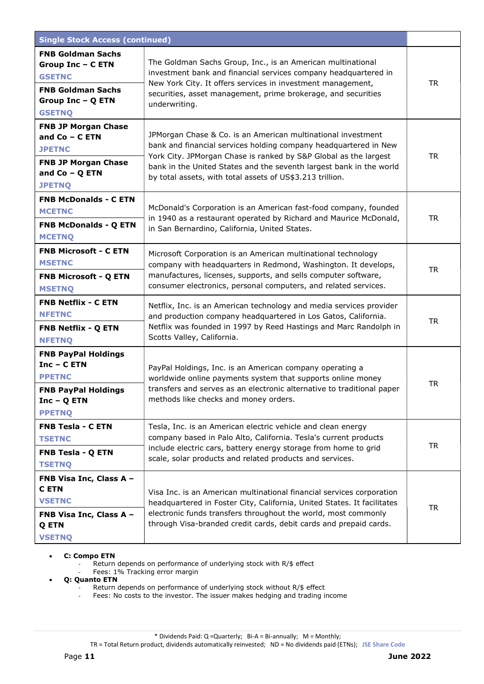| <b>Single Stock Access (continued)</b>                                                                                                  |                                                                                                                                                                                                                                                                                                                                          |           |
|-----------------------------------------------------------------------------------------------------------------------------------------|------------------------------------------------------------------------------------------------------------------------------------------------------------------------------------------------------------------------------------------------------------------------------------------------------------------------------------------|-----------|
| <b>FNB Goldman Sachs</b><br><b>Group Inc - C ETN</b><br><b>GSETNC</b><br><b>FNB Goldman Sachs</b><br>Group Inc - Q ETN<br><b>GSETNQ</b> | The Goldman Sachs Group, Inc., is an American multinational<br>investment bank and financial services company headquartered in<br>New York City. It offers services in investment management,<br>securities, asset management, prime brokerage, and securities<br>underwriting.                                                          | TR        |
| <b>FNB JP Morgan Chase</b><br>and $Co - C ETN$<br><b>JPETNC</b><br><b>FNB JP Morgan Chase</b><br>and $Co - Q$ ETN<br><b>JPETNQ</b>      | JPMorgan Chase & Co. is an American multinational investment<br>bank and financial services holding company headquartered in New<br>York City. JPMorgan Chase is ranked by S&P Global as the largest<br>bank in the United States and the seventh largest bank in the world<br>by total assets, with total assets of US\$3.213 trillion. | <b>TR</b> |
| <b>FNB McDonalds - C ETN</b><br><b>MCETNC</b><br><b>FNB McDonalds - Q ETN</b><br><b>MCETNQ</b>                                          | McDonald's Corporation is an American fast-food company, founded<br>in 1940 as a restaurant operated by Richard and Maurice McDonald,<br>in San Bernardino, California, United States.                                                                                                                                                   | <b>TR</b> |
| <b>FNB Microsoft - C ETN</b><br><b>MSETNC</b><br><b>FNB Microsoft - Q ETN</b><br><b>MSETNQ</b>                                          | Microsoft Corporation is an American multinational technology<br>company with headquarters in Redmond, Washington. It develops,<br>manufactures, licenses, supports, and sells computer software,<br>consumer electronics, personal computers, and related services.                                                                     | <b>TR</b> |
| <b>FNB Netflix - C ETN</b><br><b>NFETNC</b><br>FNB Netflix - Q ETN<br><b>NFETNQ</b>                                                     | Netflix, Inc. is an American technology and media services provider<br>and production company headquartered in Los Gatos, California.<br>Netflix was founded in 1997 by Reed Hastings and Marc Randolph in<br>Scotts Valley, California.                                                                                                 | <b>TR</b> |
| <b>FNB PayPal Holdings</b><br>$Inc - C ETN$<br><b>PPETNC</b><br><b>FNB PayPal Holdings</b><br>$Inc - Q ETN$<br><b>PPETNQ</b>            | PayPal Holdings, Inc. is an American company operating a<br>worldwide online payments system that supports online money<br>transfers and serves as an electronic alternative to traditional paper<br>methods like checks and money orders.                                                                                               | <b>TR</b> |
| <b>FNB Tesla - C ETN</b><br><b>TSETNC</b><br>FNB Tesla - Q ETN<br><b>TSETNQ</b>                                                         | Tesla, Inc. is an American electric vehicle and clean energy<br>company based in Palo Alto, California. Tesla's current products<br>include electric cars, battery energy storage from home to grid<br>scale, solar products and related products and services.                                                                          | <b>TR</b> |
| FNB Visa Inc, Class A -<br><b>CETN</b><br><b>VSETNC</b><br>FNB Visa Inc, Class A -<br>Q ETN<br><b>VSETNQ</b>                            | Visa Inc. is an American multinational financial services corporation<br>headquartered in Foster City, California, United States. It facilitates<br>electronic funds transfers throughout the world, most commonly<br>through Visa-branded credit cards, debit cards and prepaid cards.                                                  | <b>TR</b> |

## C: Compo ETN

- Return depends on performance of underlying stock with R/\$ effect Fees: 1% Tracking error margin

- Q: Quanto ETN
	- Return depends on performance of underlying stock without R/\$ effect
	- Fees: No costs to the investor. The issuer makes hedging and trading income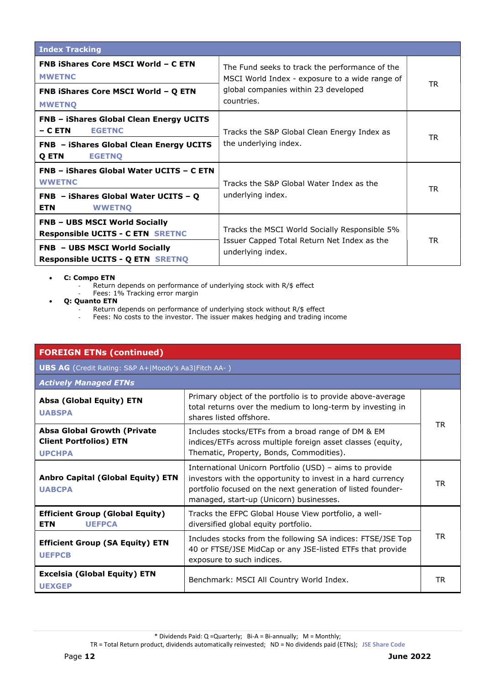| <b>Index Tracking</b>                                                                                                                                              |                                                                                                                                                        |           |
|--------------------------------------------------------------------------------------------------------------------------------------------------------------------|--------------------------------------------------------------------------------------------------------------------------------------------------------|-----------|
| <b>FNB iShares Core MSCI World - C ETN</b><br><b>MWETNC</b><br>FNB iShares Core MSCI World - Q ETN<br><b>MWETNO</b>                                                | The Fund seeks to track the performance of the<br>MSCI World Index - exposure to a wide range of<br>global companies within 23 developed<br>countries. | TR        |
| <b>FNB - iShares Global Clean Energy UCITS</b><br>$-$ C ETN<br><b>EGETNC</b><br><b>FNB - iShares Global Clean Energy UCITS</b><br>Q ETN<br><b>EGETNO</b>           | Tracks the S&P Global Clean Energy Index as<br>the underlying index.                                                                                   | <b>TR</b> |
| FNB - iShares Global Water UCITS - C ETN<br><b>WWETNC</b><br>$FNB - iShares Global Water UCITS - Q$<br><b>ETN</b><br><b>WWETNO</b>                                 | Tracks the S&P Global Water Index as the<br>underlying index.                                                                                          | TR.       |
| <b>FNB - UBS MSCI World Socially</b><br><b>Responsible UCITS - C ETN SRETNC</b><br><b>FNB - UBS MSCI World Socially</b><br><b>Responsible UCITS - Q ETN SRETNQ</b> | Tracks the MSCI World Socially Responsible 5%<br>Issuer Capped Total Return Net Index as the<br>underlying index.                                      | <b>TR</b> |

- C: Compo ETN
	- Return depends on performance of underlying stock with R/\$ effect
	- Fees: 1% Tracking error margin
- Q: Quanto ETN
	- Return depends on performance of underlying stock without R/\$ effect
	- Fees: No costs to the investor. The issuer makes hedging and trading income

| <b>FOREIGN ETNs (continued)</b>                                                      |                                                                                                                                                                                                                                  |     |
|--------------------------------------------------------------------------------------|----------------------------------------------------------------------------------------------------------------------------------------------------------------------------------------------------------------------------------|-----|
| <b>UBS AG</b> (Credit Rating: S&P A+ Moody's Aa3 Fitch AA-)                          |                                                                                                                                                                                                                                  |     |
| <b>Actively Managed ETNs</b>                                                         |                                                                                                                                                                                                                                  |     |
| Absa (Global Equity) ETN<br><b>UABSPA</b>                                            | Primary object of the portfolio is to provide above-average<br>total returns over the medium to long-term by investing in<br>shares listed offshore.                                                                             |     |
| <b>Absa Global Growth (Private</b><br><b>Client Portfolios) ETN</b><br><b>UPCHPA</b> | Includes stocks/ETFs from a broad range of DM & EM<br>indices/ETFs across multiple foreign asset classes (equity,<br>Thematic, Property, Bonds, Commodities).                                                                    | TR. |
| <b>Anbro Capital (Global Equity) ETN</b><br><b>UABCPA</b>                            | International Unicorn Portfolio (USD) - aims to provide<br>investors with the opportunity to invest in a hard currency<br>portfolio focused on the next generation of listed founder-<br>managed, start-up (Unicorn) businesses. | TR. |
| <b>Efficient Group (Global Equity)</b><br><b>ETN</b><br><b>UEFPCA</b>                | Tracks the EFPC Global House View portfolio, a well-<br>diversified global equity portfolio.                                                                                                                                     |     |
| <b>Efficient Group (SA Equity) ETN</b><br><b>UEFPCB</b>                              | Includes stocks from the following SA indices: FTSE/JSE Top<br>40 or FTSE/JSE MidCap or any JSE-listed ETFs that provide<br>exposure to such indices.                                                                            | TR. |
| <b>Excelsia (Global Equity) ETN</b><br><b>UEXGEP</b>                                 | Benchmark: MSCI All Country World Index.                                                                                                                                                                                         | TR  |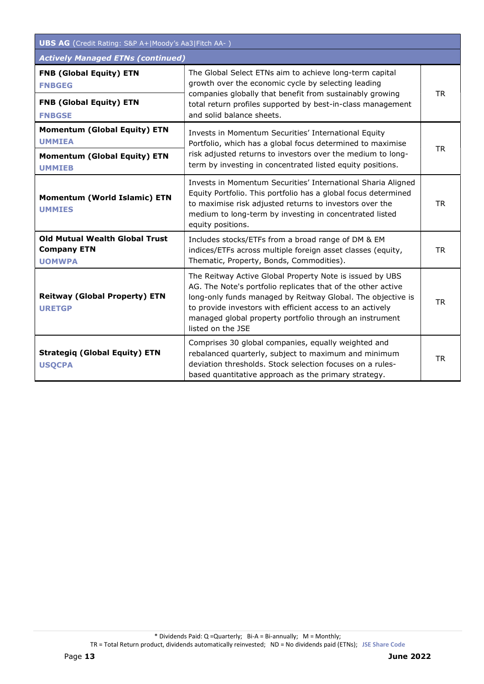| <b>UBS AG</b> (Credit Rating: S&P A+ Moody's Aa3 Fitch AA-)                  |                                                                                                                                                                                                                                                                                                                                      |           |
|------------------------------------------------------------------------------|--------------------------------------------------------------------------------------------------------------------------------------------------------------------------------------------------------------------------------------------------------------------------------------------------------------------------------------|-----------|
| <b>Actively Managed ETNs (continued)</b>                                     |                                                                                                                                                                                                                                                                                                                                      |           |
| <b>FNB (Global Equity) ETN</b><br><b>FNBGEG</b>                              | The Global Select ETNs aim to achieve long-term capital<br>growth over the economic cycle by selecting leading                                                                                                                                                                                                                       | <b>TR</b> |
| <b>FNB (Global Equity) ETN</b><br><b>FNBGSE</b>                              | companies globally that benefit from sustainably growing<br>total return profiles supported by best-in-class management<br>and solid balance sheets.                                                                                                                                                                                 |           |
| <b>Momentum (Global Equity) ETN</b><br><b>UMMIEA</b>                         | Invests in Momentum Securities' International Equity<br>Portfolio, which has a global focus determined to maximise<br>risk adjusted returns to investors over the medium to long-<br>term by investing in concentrated listed equity positions.                                                                                      | <b>TR</b> |
| <b>Momentum (Global Equity) ETN</b><br><b>UMMIEB</b>                         |                                                                                                                                                                                                                                                                                                                                      |           |
| <b>Momentum (World Islamic) ETN</b><br><b>UMMIES</b>                         | Invests in Momentum Securities' International Sharia Aligned<br>Equity Portfolio. This portfolio has a global focus determined<br>to maximise risk adjusted returns to investors over the<br>medium to long-term by investing in concentrated listed<br>equity positions.                                                            | <b>TR</b> |
| <b>Old Mutual Wealth Global Trust</b><br><b>Company ETN</b><br><b>UOMWPA</b> | Includes stocks/ETFs from a broad range of DM & EM<br>indices/ETFs across multiple foreign asset classes (equity,<br>Thematic, Property, Bonds, Commodities).                                                                                                                                                                        | <b>TR</b> |
| <b>Reitway (Global Property) ETN</b><br><b>URETGP</b>                        | The Reitway Active Global Property Note is issued by UBS<br>AG. The Note's portfolio replicates that of the other active<br>long-only funds managed by Reitway Global. The objective is<br>to provide investors with efficient access to an actively<br>managed global property portfolio through an instrument<br>listed on the JSE | <b>TR</b> |
| <b>Strategiq (Global Equity) ETN</b><br><b>USQCPA</b>                        | Comprises 30 global companies, equally weighted and<br>rebalanced quarterly, subject to maximum and minimum<br>deviation thresholds. Stock selection focuses on a rules-<br>based quantitative approach as the primary strategy.                                                                                                     | <b>TR</b> |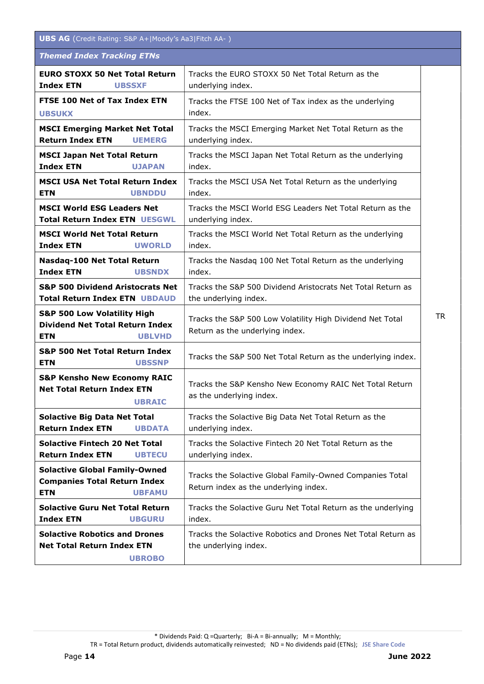| <b>UBS AG</b> (Credit Rating: S&P A+ Moody's Aa3 Fitch AA-)                                                     |                                                                                                   |           |
|-----------------------------------------------------------------------------------------------------------------|---------------------------------------------------------------------------------------------------|-----------|
| <b>Themed Index Tracking ETNs</b>                                                                               |                                                                                                   |           |
| <b>EURO STOXX 50 Net Total Return</b><br><b>Index ETN</b><br><b>UBSSXF</b>                                      | Tracks the EURO STOXX 50 Net Total Return as the<br>underlying index.                             |           |
| FTSE 100 Net of Tax Index ETN<br><b>UBSUKX</b>                                                                  | Tracks the FTSE 100 Net of Tax index as the underlying<br>index.                                  |           |
| <b>MSCI Emerging Market Net Total</b><br><b>Return Index ETN</b><br><b>UEMERG</b>                               | Tracks the MSCI Emerging Market Net Total Return as the<br>underlying index.                      |           |
| <b>MSCI Japan Net Total Return</b><br><b>Index ETN</b><br><b>UJAPAN</b>                                         | Tracks the MSCI Japan Net Total Return as the underlying<br>index.                                |           |
| <b>MSCI USA Net Total Return Index</b><br><b>ETN</b><br><b>UBNDDU</b>                                           | Tracks the MSCI USA Net Total Return as the underlying<br>index.                                  |           |
| <b>MSCI World ESG Leaders Net</b><br><b>Total Return Index ETN UESGWL</b>                                       | Tracks the MSCI World ESG Leaders Net Total Return as the<br>underlying index.                    |           |
| <b>MSCI World Net Total Return</b><br><b>Index ETN</b><br><b>UWORLD</b>                                         | Tracks the MSCI World Net Total Return as the underlying<br>index.                                |           |
| Nasdaq-100 Net Total Return<br><b>Index ETN</b><br><b>UBSNDX</b>                                                | Tracks the Nasdaq 100 Net Total Return as the underlying<br>index.                                |           |
| <b>S&amp;P 500 Dividend Aristocrats Net</b><br><b>Total Return Index ETN UBDAUD</b>                             | Tracks the S&P 500 Dividend Aristocrats Net Total Return as<br>the underlying index.              |           |
| <b>S&amp;P 500 Low Volatility High</b><br><b>Dividend Net Total Return Index</b><br><b>ETN</b><br><b>UBLVHD</b> | Tracks the S&P 500 Low Volatility High Dividend Net Total<br>Return as the underlying index.      | <b>TR</b> |
| <b>S&amp;P 500 Net Total Return Index</b><br><b>ETN</b><br><b>UBSSNP</b>                                        | Tracks the S&P 500 Net Total Return as the underlying index.                                      |           |
| <b>S&amp;P Kensho New Economy RAIC</b><br><b>Net Total Return Index ETN</b><br><b>UBRAIC</b>                    | Tracks the S&P Kensho New Economy RAIC Net Total Return<br>as the underlying index.               |           |
| <b>Solactive Big Data Net Total</b><br><b>Return Index ETN</b><br><b>UBDATA</b>                                 | Tracks the Solactive Big Data Net Total Return as the<br>underlying index.                        |           |
| <b>Solactive Fintech 20 Net Total</b><br><b>Return Index ETN</b><br><b>UBTECU</b>                               | Tracks the Solactive Fintech 20 Net Total Return as the<br>underlying index.                      |           |
| <b>Solactive Global Family-Owned</b><br><b>Companies Total Return Index</b><br><b>ETN</b><br><b>UBFAMU</b>      | Tracks the Solactive Global Family-Owned Companies Total<br>Return index as the underlying index. |           |
| <b>Solactive Guru Net Total Return</b><br><b>Index ETN</b><br><b>UBGURU</b>                                     | Tracks the Solactive Guru Net Total Return as the underlying<br>index.                            |           |
| <b>Solactive Robotics and Drones</b><br><b>Net Total Return Index ETN</b><br><b>UBROBO</b>                      | Tracks the Solactive Robotics and Drones Net Total Return as<br>the underlying index.             |           |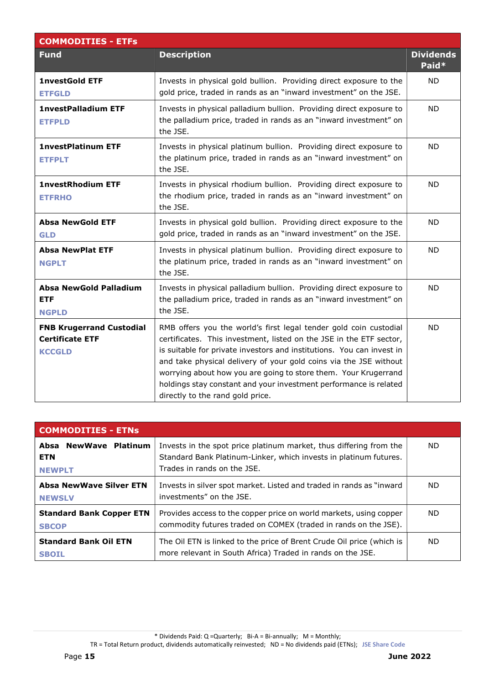| <b>COMMODITIES - ETFs</b>                                                  |                                                                                                                                                                                                                                                                                                                                                                                                                                                                    |                           |
|----------------------------------------------------------------------------|--------------------------------------------------------------------------------------------------------------------------------------------------------------------------------------------------------------------------------------------------------------------------------------------------------------------------------------------------------------------------------------------------------------------------------------------------------------------|---------------------------|
| <b>Fund</b>                                                                | <b>Description</b>                                                                                                                                                                                                                                                                                                                                                                                                                                                 | <b>Dividends</b><br>Paid* |
| <b>1nvestGold ETF</b><br><b>ETFGLD</b>                                     | Invests in physical gold bullion. Providing direct exposure to the<br>gold price, traded in rands as an "inward investment" on the JSE.                                                                                                                                                                                                                                                                                                                            | <b>ND</b>                 |
| <b>1nvestPalladium ETF</b><br><b>ETFPLD</b>                                | Invests in physical palladium bullion. Providing direct exposure to<br>the palladium price, traded in rands as an "inward investment" on<br>the JSE.                                                                                                                                                                                                                                                                                                               | <b>ND</b>                 |
| <b>1nvestPlatinum ETF</b><br><b>ETFPLT</b>                                 | Invests in physical platinum bullion. Providing direct exposure to<br>the platinum price, traded in rands as an "inward investment" on<br>the JSE.                                                                                                                                                                                                                                                                                                                 | <b>ND</b>                 |
| <b>1nvestRhodium ETF</b><br><b>ETFRHO</b>                                  | Invests in physical rhodium bullion. Providing direct exposure to<br>the rhodium price, traded in rands as an "inward investment" on<br>the JSE.                                                                                                                                                                                                                                                                                                                   | <b>ND</b>                 |
| <b>Absa NewGold ETF</b><br><b>GLD</b>                                      | Invests in physical gold bullion. Providing direct exposure to the<br>gold price, traded in rands as an "inward investment" on the JSE.                                                                                                                                                                                                                                                                                                                            | <b>ND</b>                 |
| <b>Absa NewPlat ETF</b><br><b>NGPLT</b>                                    | Invests in physical platinum bullion. Providing direct exposure to<br>the platinum price, traded in rands as an "inward investment" on<br>the JSE.                                                                                                                                                                                                                                                                                                                 | <b>ND</b>                 |
| <b>Absa NewGold Palladium</b><br><b>ETF</b><br><b>NGPLD</b>                | Invests in physical palladium bullion. Providing direct exposure to<br>the palladium price, traded in rands as an "inward investment" on<br>the JSE.                                                                                                                                                                                                                                                                                                               | <b>ND</b>                 |
| <b>FNB Krugerrand Custodial</b><br><b>Certificate ETF</b><br><b>KCCGLD</b> | RMB offers you the world's first legal tender gold coin custodial<br>certificates. This investment, listed on the JSE in the ETF sector,<br>is suitable for private investors and institutions. You can invest in<br>and take physical delivery of your gold coins via the JSE without<br>worrying about how you are going to store them. Your Krugerrand<br>holdings stay constant and your investment performance is related<br>directly to the rand gold price. | <b>ND</b>                 |

| <b>COMMODITIES - ETNs</b>                            |                                                                                                                                                                        |     |
|------------------------------------------------------|------------------------------------------------------------------------------------------------------------------------------------------------------------------------|-----|
| Absa NewWave Platinum<br><b>ETN</b><br><b>NEWPLT</b> | Invests in the spot price platinum market, thus differing from the<br>Standard Bank Platinum-Linker, which invests in platinum futures.<br>Trades in rands on the JSE. | ND. |
| <b>Absa NewWave Silver ETN</b><br><b>NEWSLV</b>      | Invests in silver spot market. Listed and traded in rands as "inward"<br>investments" on the JSE.                                                                      | ND. |
| <b>Standard Bank Copper ETN</b><br><b>SBCOP</b>      | Provides access to the copper price on world markets, using copper<br>commodity futures traded on COMEX (traded in rands on the JSE).                                  | ND. |
| <b>Standard Bank Oil ETN</b><br><b>SBOIL</b>         | The Oil ETN is linked to the price of Brent Crude Oil price (which is<br>more relevant in South Africa) Traded in rands on the JSE.                                    | ND. |